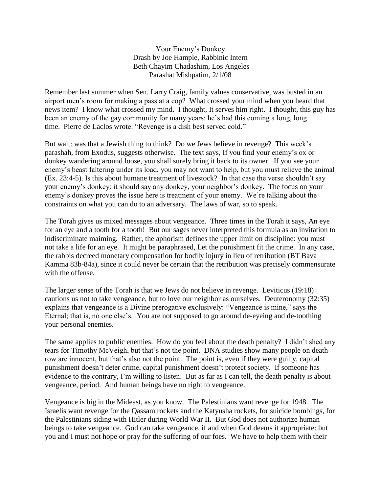Your Enemy's Donkey Drash by Joe Hample, Rabbinic Intern Beth Chayim Chadashim, Los Angeles Parashat Mishpatim, 2/1/08

Remember last summer when Sen. Larry Craig, family values conservative, was busted in an airport men's room for making a pass at a cop? What crossed your mind when you heard that news item? I know what crossed my mind. I thought, It serves him right. I thought, this guy has been an enemy of the gay community for many years: he's had this coming a long, long time. Pierre de Laclos wrote: "Revenge is a dish best served cold."

But wait: was that a Jewish thing to think? Do we Jews believe in revenge? This week's parashah, from Exodus, suggests otherwise. The text says, If you find your enemy's ox or donkey wandering around loose, you shall surely bring it back to its owner. If you see your enemy's beast faltering under its load, you may not want to help, but you must relieve the animal (Ex. 23:4-5). Is this about humane treatment of livestock? In that case the verse shouldn't say your enemy's donkey: it should say any donkey, your neighbor's donkey. The focus on your enemy's donkey proves the issue here is treatment of your enemy. We're talking about the constraints on what you can do to an adversary. The laws of war, so to speak.

The Torah gives us mixed messages about vengeance. Three times in the Torah it says, An eye for an eye and a tooth for a tooth! But our sages never interpreted this formula as an invitation to indiscriminate maiming. Rather, the aphorism defines the upper limit on discipline: you must not take a life for an eye. It might be paraphrased, Let the punishment fit the crime. In any case, the rabbis decreed monetary compensation for bodily injury in lieu of retribution (BT Bava Kamma 83b-84a), since it could never be certain that the retribution was precisely commensurate with the offense.

The larger sense of the Torah is that we Jews do not believe in revenge. Leviticus (19:18) cautions us not to take vengeance, but to love our neighbor as ourselves. Deuteronomy (32:35) explains that vengeance is a Divine prerogative exclusively: "Vengeance is mine," says the Eternal; that is, no one else's. You are not supposed to go around de-eyeing and de-toothing your personal enemies.

The same applies to public enemies. How do you feel about the death penalty? I didn't shed any tears for Timothy McVeigh, but that's not the point. DNA studies show many people on death row are innocent, but that's also not the point. The point is, even if they were guilty, capital punishment doesn't deter crime, capital punishment doesn't protect society. If someone has evidence to the contrary, I'm willing to listen. But as far as I can tell, the death penalty is about vengeance, period. And human beings have no right to vengeance.

Vengeance is big in the Mideast, as you know. The Palestinians want revenge for 1948. The Israelis want revenge for the Qassam rockets and the Katyusha rockets, for suicide bombings, for the Palestinians siding with Hitler during World War II. But God does not authorize human beings to take vengeance. God can take vengeance, if and when God deems it appropriate: but you and I must not hope or pray for the suffering of our foes. We have to help them with their